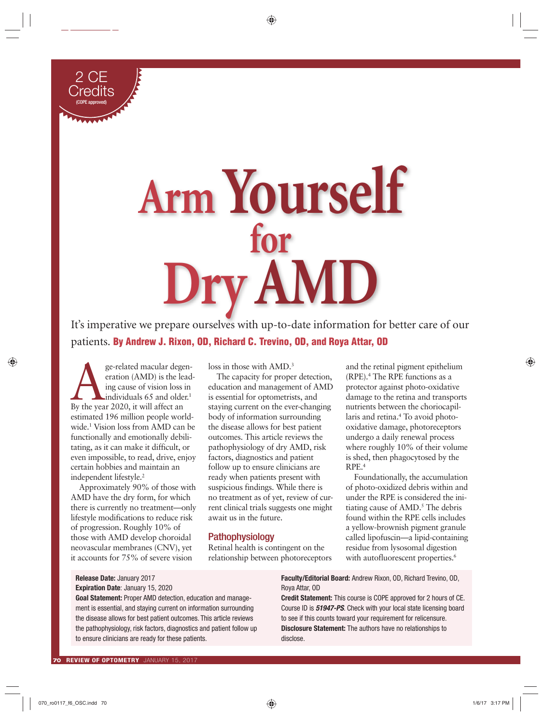

# **Arm Yourself for Dry AMD**

It's imperative we prepare ourselves with up-to-date information for better care of our patients. **By Andrew J. Rixon, OD, Richard C. Trevino, OD, and Roya Attar, OD**

ge-related macular degeneration (AMD) is the lead<br>ing cause of vision loss in<br>By the year 2020, it will affect an eration (AMD) is the leading cause of vision loss in individuals 65 and older.<sup>1</sup> estimated 196 million people worldwide.1 Vision loss from AMD can be functionally and emotionally debilitating, as it can make it difficult, or even impossible, to read, drive, enjoy certain hobbies and maintain an independent lifestyle.<sup>2</sup>

Approximately 90% of those with AMD have the dry form, for which there is currently no treatment—only lifestyle modifications to reduce risk of progression. Roughly 10% of those with AMD develop choroidal neovascular membranes (CNV), yet it accounts for 75% of severe vision

loss in those with AMD.<sup>3</sup>

The capacity for proper detection, education and management of AMD is essential for optometrists, and staying current on the ever-changing body of information surrounding the disease allows for best patient outcomes. This article reviews the pathophysiology of dry AMD, risk factors, diagnostics and patient follow up to ensure clinicians are ready when patients present with suspicious findings. While there is no treatment as of yet, review of current clinical trials suggests one might await us in the future.

# Pathophysiology

Retinal health is contingent on the relationship between photoreceptors and the retinal pigment epithelium (RPE).4 The RPE functions as a protector against photo-oxidative damage to the retina and transports nutrients between the choriocapillaris and retina.4 To avoid photooxidative damage, photoreceptors undergo a daily renewal process where roughly 10% of their volume is shed, then phagocytosed by the RPE.4

Foundationally, the accumulation of photo-oxidized debris within and under the RPE is considered the initiating cause of AMD.<sup>5</sup> The debris found within the RPE cells includes a yellow-brownish pigment granule called lipofuscin—a lipid-containing residue from lysosomal digestion with autofluorescent properties.<sup>6</sup>

# **Release Date:** January 2017 **Expiration Date**: January 15, 2020

**Goal Statement:** Proper AMD detection, education and management is essential, and staying current on information surrounding the disease allows for best patient outcomes. This article reviews the pathophysiology, risk factors, diagnostics and patient follow up to ensure clinicians are ready for these patients.

**Faculty/Editorial Board:** Andrew Rixon, OD, Richard Trevino, OD, Roya Attar, OD

**Credit Statement:** This course is COPE approved for 2 hours of CE. Course ID is *51947-PS*. Check with your local state licensing board to see if this counts toward your requirement for relicensure. **Disclosure Statement:** The authors have no relationships to disclose.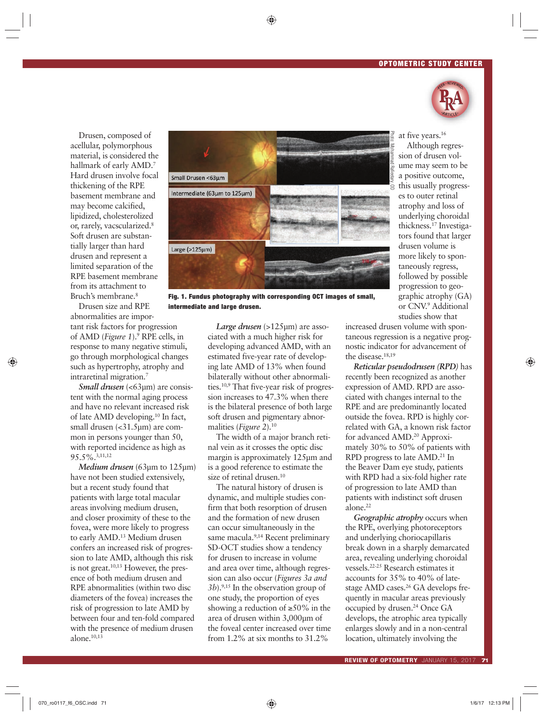

Drusen, composed of acellular, polymorphous material, is considered the hallmark of early AMD.7 Hard drusen involve focal thickening of the RPE basement membrane and may become calcified, lipidized, cholesterolized or, rarely, vacscularized.8 Soft drusen are substantially larger than hard drusen and represent a limited separation of the RPE basement membrane from its attachment to Bruch's membrane.8

Drusen size and RPE abnormalities are impor-

tant risk factors for progression of AMD (*Figure 1*).9 RPE cells, in response to many negative stimuli, go through morphological changes such as hypertrophy, atrophy and intraretinal migration.7

*Small drusen* (<63µm) are consistent with the normal aging process and have no relevant increased risk of late AMD developing.10 In fact, small drusen  $\langle$  <31.5µm $\rangle$  are common in persons younger than 50, with reported incidence as high as 95.5%.3,11,12

*Medium drusen* (63µm to 125µm) have not been studied extensively, but a recent study found that patients with large total macular areas involving medium drusen, and closer proximity of these to the fovea, were more likely to progress to early AMD.<sup>13</sup> Medium drusen confers an increased risk of progression to late AMD, although this risk is not great.10,13 However, the presence of both medium drusen and RPE abnormalities (within two disc diameters of the fovea) increases the risk of progression to late AMD by between four and ten-fold compared with the presence of medium drusen alone. $10,13$ 



**Fig. 1. Fundus photography with corresponding OCT images of small, intermediate and large drusen.**

*Large drusen* (>125µm) are associated with a much higher risk for developing advanced AMD, with an estimated five-year rate of developing late AMD of 13% when found bilaterally without other abnormalities.10,9 That five-year risk of progression increases to 47.3% when there is the bilateral presence of both large soft drusen and pigmentary abnormalities (*Figure 2*).10

The width of a major branch retinal vein as it crosses the optic disc margin is approximately 125µm and is a good reference to estimate the size of retinal drusen.<sup>10</sup>

The natural history of drusen is dynamic, and multiple studies confirm that both resorption of drusen and the formation of new drusen can occur simultaneously in the same macula.<sup>9,14</sup> Recent preliminary SD-OCT studies show a tendency for drusen to increase in volume and area over time, although regression can also occur (*Figures 3a and 3b*).9,15 In the observation group of one study, the proportion of eyes showing a reduction of  $\geq 50\%$  in the area of drusen within 3,000µm of the foveal center increased over time from 1.2% at six months to 31.2%

at five years.16 Although regression of drusen volume may seem to be a positive outcome, this usually progresses to outer retinal atrophy and loss of underlying choroidal thickness.17 Investigators found that larger drusen volume is more likely to spontaneously regress, followed by possible progression to geographic atrophy (GA) or CNV.9 Additional studies show that

increased drusen volume with spontaneous regression is a negative prognostic indicator for advancement of the disease.18,19

*Reticular pseudodrusen (RPD)* has recently been recognized as another expression of AMD. RPD are associated with changes internal to the RPE and are predominantly located outside the fovea. RPD is highly correlated with GA, a known risk factor for advanced AMD.20 Approximately 30% to 50% of patients with RPD progress to late AMD.21 In the Beaver Dam eye study, patients with RPD had a six-fold higher rate of progression to late AMD than patients with indistinct soft drusen alone.22

*Geographic atrophy* occurs when the RPE, overlying photoreceptors and underlying choriocapillaris break down in a sharply demarcated area, revealing underlying choroidal vessels.22-25 Research estimates it accounts for 35% to 40% of latestage AMD cases.<sup>26</sup> GA develops frequently in macular areas previously occupied by drusen.<sup>24</sup> Once GA develops, the atrophic area typically enlarges slowly and in a non-central location, ultimately involving the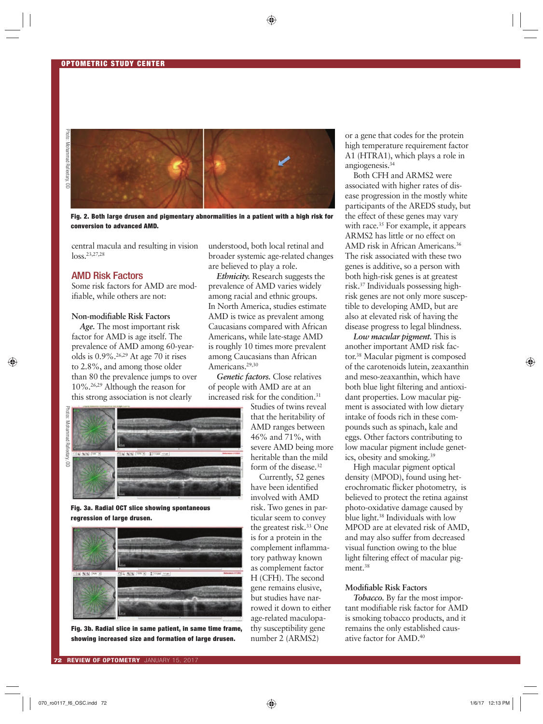

**Fig. 2. Both large drusen and pigmentary abnormalities in a patient with a high risk for conversion to advanced AMD.**

central macula and resulting in vision loss.23,27,28

## AMD Risk Factors

Some risk factors for AMD are modifiable, while others are not:

## **Non-modifiable Risk Factors**

*Age.* The most important risk factor for AMD is age itself. The prevalence of AMD among 60-yearolds is  $0.9\%$ .<sup>26,29</sup> At age 70 it rises to 2.8%, and among those older than 80 the prevalence jumps to over 10%.26,29 Although the reason for this strong association is not clearly

Photos: Mohammad Rafieetary, OD hotos: Mohammad Rafieetary, OD



**Fig. 3a. Radial OCT slice showing spontaneous regression of large drusen.** 



**Fig. 3b. Radial slice in same patient, in same time frame, showing increased size and formation of large drusen.**

understood, both local retinal and broader systemic age-related changes are believed to play a role.

*Ethnicity.* Research suggests the prevalence of AMD varies widely among racial and ethnic groups. In North America, studies estimate AMD is twice as prevalent among Caucasians compared with African Americans, while late-stage AMD is roughly 10 times more prevalent among Caucasians than African Americans.<sup>29,30</sup>

*Genetic factors.* Close relatives of people with AMD are at an increased risk for the condition.<sup>31</sup>

> Studies of twins reveal that the heritability of AMD ranges between 46% and 71%, with severe AMD being more heritable than the mild form of the disease.<sup>32</sup>

Currently, 52 genes have been identified involved with AMD risk. Two genes in particular seem to convey the greatest risk.<sup>33</sup> One is for a protein in the complement inflammatory pathway known as complement factor H (CFH). The second gene remains elusive, but studies have narrowed it down to either age-related maculopathy susceptibility gene number 2 (ARMS2)

or a gene that codes for the protein high temperature requirement factor A1 (HTRA1), which plays a role in angiogenesis.34

Both CFH and ARMS2 were associated with higher rates of disease progression in the mostly white participants of the AREDS study, but the effect of these genes may vary with race.<sup>35</sup> For example, it appears ARMS2 has little or no effect on AMD risk in African Americans.36 The risk associated with these two genes is additive, so a person with both high-risk genes is at greatest risk.37 Individuals possessing highrisk genes are not only more susceptible to developing AMD, but are also at elevated risk of having the disease progress to legal blindness.

*Low macular pigment.* This is another important AMD risk factor.38 Macular pigment is composed of the carotenoids lutein, zeaxanthin and meso-zeaxanthin, which have both blue light filtering and antioxidant properties. Low macular pigment is associated with low dietary intake of foods rich in these compounds such as spinach, kale and eggs. Other factors contributing to low macular pigment include genetics, obesity and smoking.39

High macular pigment optical density (MPOD), found using heterochromatic flicker photometry, is believed to protect the retina against photo-oxidative damage caused by blue light.38 Individuals with low MPOD are at elevated risk of AMD, and may also suffer from decreased visual function owing to the blue light filtering effect of macular pigment.<sup>38</sup>

## **Modifiable Risk Factors**

*Tobacco.* By far the most important modifiable risk factor for AMD is smoking tobacco products, and it remains the only established causative factor for AMD.40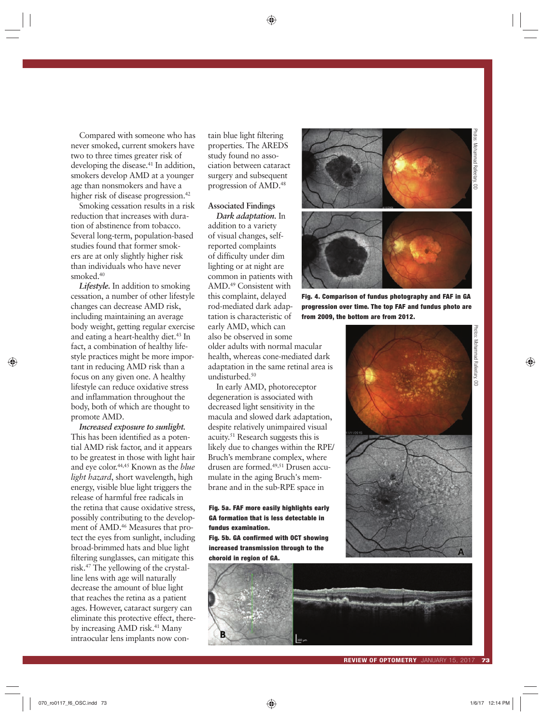Photos: Mohammad Rafieetary, OD Photos: Mohammad Rafieetary, OD

Compared with someone who has never smoked, current smokers have two to three times greater risk of developing the disease.<sup>41</sup> In addition, smokers develop AMD at a younger age than nonsmokers and have a higher risk of disease progression.<sup>42</sup>

Smoking cessation results in a risk reduction that increases with duration of abstinence from tobacco. Several long-term, population-based studies found that former smokers are at only slightly higher risk than individuals who have never smoked.40

*Lifestyle.* In addition to smoking cessation, a number of other lifestyle changes can decrease AMD risk, including maintaining an average body weight, getting regular exercise and eating a heart-healthy diet.<sup>43</sup> In fact, a combination of healthy lifestyle practices might be more important in reducing AMD risk than a focus on any given one. A healthy lifestyle can reduce oxidative stress and inflammation throughout the body, both of which are thought to promote AMD.

*Increased exposure to sunlight.*  This has been identified as a potential AMD risk factor, and it appears to be greatest in those with light hair and eye color.44,45 Known as the *blue light hazard*, short wavelength, high energy, visible blue light triggers the release of harmful free radicals in the retina that cause oxidative stress, possibly contributing to the development of AMD.<sup>46</sup> Measures that protect the eyes from sunlight, including broad-brimmed hats and blue light filtering sunglasses, can mitigate this risk.47 The yellowing of the crystalline lens with age will naturally decrease the amount of blue light that reaches the retina as a patient ages. However, cataract surgery can eliminate this protective effect, thereby increasing AMD risk.<sup>41</sup> Many intraocular lens implants now con-

tain blue light filtering properties. The AREDS study found no association between cataract surgery and subsequent progression of AMD.48

#### **Associated Findings**

*Dark adaptation.* In addition to a variety of visual changes, selfreported complaints of difficulty under dim lighting or at night are common in patients with AMD.49 Consistent with this complaint, delayed rod-mediated dark adaptation is characteristic of early AMD, which can also be observed in some older adults with normal macular health, whereas cone-mediated dark adaptation in the same retinal area is undisturbed.<sup>50</sup>

In early AMD, photoreceptor degeneration is associated with decreased light sensitivity in the macula and slowed dark adaptation, despite relatively unimpaired visual acuity.51 Research suggests this is likely due to changes within the RPE/ Bruch's membrane complex, where drusen are formed.49,51 Drusen accumulate in the aging Bruch's membrane and in the sub-RPE space in

## **Fig. 5a. FAF more easily highlights early GA formation that is less detectable in fundus examination.**

**Fig. 5b. GA confirmed with OCT showing increased transmission through to the choroid in region of GA.** 





**Fig. 4. Comparison of fundus photography and FAF in GA progression over time. The top FAF and fundus photo are from 2009, the bottom are from 2012.**



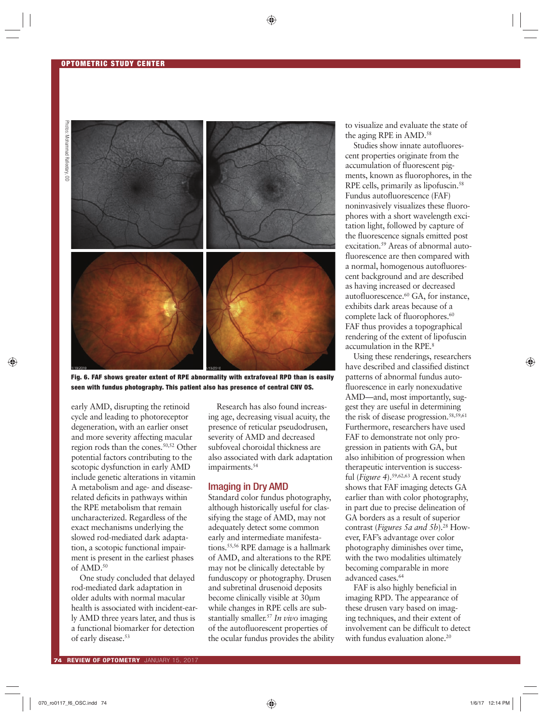

**Fig. 6. FAF shows greater extent of RPE abnormality with extrafoveal RPD than is easily seen with fundus photography. This patient also has presence of central CNV OS.**

early AMD, disrupting the retinoid cycle and leading to photoreceptor degeneration, with an earlier onset and more severity affecting macular region rods than the cones.50,52 Other potential factors contributing to the scotopic dysfunction in early AMD include genetic alterations in vitamin A metabolism and age- and diseaserelated deficits in pathways within the RPE metabolism that remain uncharacterized. Regardless of the exact mechanisms underlying the slowed rod-mediated dark adaptation, a scotopic functional impairment is present in the earliest phases of AMD.50

One study concluded that delayed rod-mediated dark adaptation in older adults with normal macular health is associated with incident-early AMD three years later, and thus is a functional biomarker for detection of early disease.<sup>53</sup>

Research has also found increasing age, decreasing visual acuity, the presence of reticular pseudodrusen, severity of AMD and decreased subfoveal choroidal thickness are also associated with dark adaptation impairments.<sup>54</sup>

## Imaging in Dry AMD

Standard color fundus photography, although historically useful for classifying the stage of AMD, may not adequately detect some common early and intermediate manifestations.55,56 RPE damage is a hallmark of AMD, and alterations to the RPE may not be clinically detectable by funduscopy or photography. Drusen and subretinal drusenoid deposits become clinically visible at 30µm while changes in RPE cells are substantially smaller.57 *In vivo* imaging of the autofluorescent properties of the ocular fundus provides the ability to visualize and evaluate the state of the aging RPE in AMD.<sup>58</sup>

Studies show innate autofluorescent properties originate from the accumulation of fluorescent pigments, known as fluorophores, in the RPE cells, primarily as lipofuscin.<sup>58</sup> Fundus autofluorescence (FAF) noninvasively visualizes these fluorophores with a short wavelength excitation light, followed by capture of the fluorescence signals emitted post excitation.59 Areas of abnormal autofluorescence are then compared with a normal, homogenous autofluorescent background and are described as having increased or decreased autofluorescence.<sup>60</sup> GA, for instance, exhibits dark areas because of a complete lack of fluorophores.<sup>60</sup> FAF thus provides a topographical rendering of the extent of lipofuscin accumulation in the RPE.8

Using these renderings, researchers have described and classified distinct patterns of abnormal fundus autofluorescence in early nonexudative AMD—and, most importantly, suggest they are useful in determining the risk of disease progression.<sup>58,59,61</sup> Furthermore, researchers have used FAF to demonstrate not only progression in patients with GA, but also inhibition of progression when therapeutic intervention is successful (*Figure 4*).59,62,63 A recent study shows that FAF imaging detects GA earlier than with color photography, in part due to precise delineation of GA borders as a result of superior contrast (*Figures 5a and 5b*).<sup>28</sup> However, FAF's advantage over color photography diminishes over time, with the two modalities ultimately becoming comparable in more advanced cases.<sup>64</sup>

FAF is also highly beneficial in imaging RPD. The appearance of these drusen vary based on imaging techniques, and their extent of involvement can be difficult to detect with fundus evaluation alone.<sup>20</sup>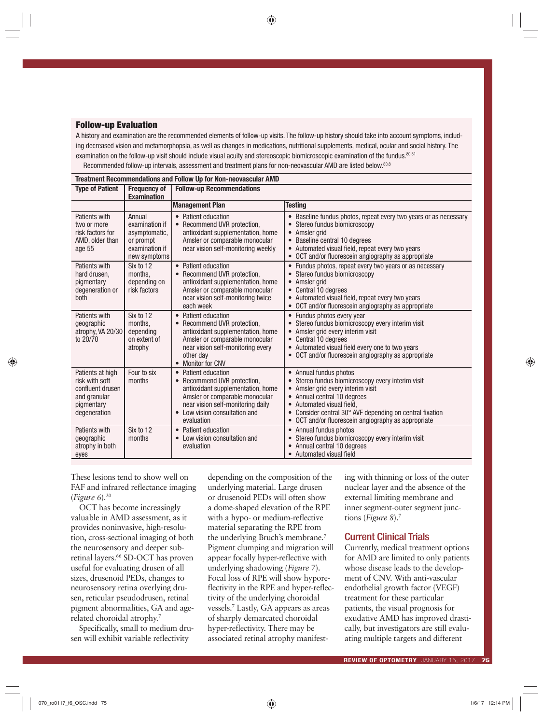## **Follow-up Evaluation**

A history and examination are the recommended elements of follow-up visits. The follow-up history should take into account symptoms, including decreased vision and metamorphopsia, as well as changes in medications, nutritional supplements, medical, ocular and social history. The examination on the follow-up visit should include visual acuity and stereoscopic biomicroscopic examination of the fundus.<sup>80,81</sup> Recommended follow-up intervals, assessment and treatment plans for non-neovascular AMD are listed below.<sup>80,8</sup>

| Treatment Recommendations and Follow Up for Non-neovascular AMD                                      |                                                                                          |                                                                                                                                                                                                                      |                                                                                                                                                                                                                                                                                                                                       |  |  |  |  |  |  |  |
|------------------------------------------------------------------------------------------------------|------------------------------------------------------------------------------------------|----------------------------------------------------------------------------------------------------------------------------------------------------------------------------------------------------------------------|---------------------------------------------------------------------------------------------------------------------------------------------------------------------------------------------------------------------------------------------------------------------------------------------------------------------------------------|--|--|--|--|--|--|--|
| <b>Type of Patient</b>                                                                               | <b>Frequency of</b><br><b>Examination</b>                                                | <b>Follow-up Recommendations</b>                                                                                                                                                                                     |                                                                                                                                                                                                                                                                                                                                       |  |  |  |  |  |  |  |
|                                                                                                      |                                                                                          | <b>Management Plan</b>                                                                                                                                                                                               | <b>Testing</b>                                                                                                                                                                                                                                                                                                                        |  |  |  |  |  |  |  |
| Patients with<br>two or more<br>risk factors for<br>AMD, older than<br>age 55                        | Annual<br>examination if<br>asymptomatic,<br>or prompt<br>examination if<br>new symptoms | Patient education<br>Recommend UVR protection,<br>antioxidant supplementation, home<br>Amsler or comparable monocular<br>near vision self-monitoring weekly                                                          | Baseline fundus photos, repeat every two years or as necessary<br>Stereo fundus biomicroscopy<br>$\bullet$<br>Amsler grid<br>$\bullet$<br>Baseline central 10 degrees<br>$\bullet$<br>Automated visual field, repeat every two years<br>OCT and/or fluorescein angiography as appropriate                                             |  |  |  |  |  |  |  |
| Patients with<br>hard drusen,<br>pigmentary<br>degeneration or<br>both                               | Six to 12<br>months,<br>depending on<br>risk factors                                     | Patient education<br>$\bullet$<br>Recommend UVR protection,<br>antioxidant supplementation, home<br>Amsler or comparable monocular<br>near vision self-monitoring twice<br>each week                                 | Fundus photos, repeat every two years or as necessary<br>Stereo fundus biomicroscopy<br>$\bullet$<br>Amsler grid<br>$\bullet$<br>Central 10 degrees<br>$\bullet$<br>Automated visual field, repeat every two years<br>OCT and/or fluorescein angiography as appropriate                                                               |  |  |  |  |  |  |  |
| Patients with<br>geographic<br>atrophy, VA 20/30<br>to 20/70                                         | Six to 12<br>months.<br>depending<br>on extent of<br>atrophy                             | Patient education<br>$\bullet$<br>Recommend UVR protection,<br>antioxidant supplementation, home<br>Amsler or comparable monocular<br>near vision self-monitoring every<br>other day<br><b>Monitor for CNV</b>       | Fundus photos every year<br>$\bullet$<br>Stereo fundus biomicroscopy every interim visit<br>Amsler grid every interim visit<br>Central 10 degrees<br>$\bullet$<br>Automated visual field every one to two years<br>OCT and/or fluorescein angiography as appropriate                                                                  |  |  |  |  |  |  |  |
| Patients at high<br>risk with soft<br>confluent drusen<br>and granular<br>pigmentary<br>degeneration | Four to six<br>months                                                                    | Patient education<br>$\bullet$<br>Recommend UVR protection,<br>antioxidant supplementation, home<br>Amsler or comparable monocular<br>near vision self-monitoring daily<br>Low vision consultation and<br>evaluation | Annual fundus photos<br>$\bullet$<br>Stereo fundus biomicroscopy every interim visit<br>$\bullet$<br>Amsler grid every interim visit<br>Annual central 10 degrees<br>Automated visual field,<br>Consider central 30° AVF depending on central fixation<br>$\bullet$<br>OCT and/or fluorescein angiography as appropriate<br>$\bullet$ |  |  |  |  |  |  |  |
| Patients with<br>geographic<br>atrophy in both<br>eyes                                               | Six to 12<br>months                                                                      | Patient education<br>$\bullet$<br>Low vision consultation and<br>evaluation                                                                                                                                          | Annual fundus photos<br>$\bullet$<br>Stereo fundus biomicroscopy every interim visit<br>$\bullet$<br>Annual central 10 degrees<br>Automated visual field                                                                                                                                                                              |  |  |  |  |  |  |  |

These lesions tend to show well on FAF and infrared reflectance imaging (*Figure 6*).20

OCT has become increasingly valuable in AMD assessment, as it provides noninvasive, high-resolution, cross-sectional imaging of both the neurosensory and deeper subretinal layers.<sup>66</sup> SD-OCT has proven useful for evaluating drusen of all sizes, drusenoid PEDs, changes to neurosensory retina overlying drusen, reticular pseudodrusen, retinal pigment abnormalities, GA and agerelated choroidal atrophy.7

Specifically, small to medium drusen will exhibit variable reflectivity

depending on the composition of the underlying material. Large drusen or drusenoid PEDs will often show a dome-shaped elevation of the RPE with a hypo- or medium-reflective material separating the RPE from the underlying Bruch's membrane.7 Pigment clumping and migration will appear focally hyper-reflective with underlying shadowing (*Figure 7*). Focal loss of RPE will show hyporeflectivity in the RPE and hyper-reflectivity of the underlying choroidal vessels.7 Lastly, GA appears as areas of sharply demarcated choroidal hyper-reflectivity. There may be associated retinal atrophy manifest-

ing with thinning or loss of the outer nuclear layer and the absence of the external limiting membrane and inner segment-outer segment junctions (*Figure 8*).7

## Current Clinical Trials

Currently, medical treatment options for AMD are limited to only patients whose disease leads to the development of CNV. With anti-vascular endothelial growth factor (VEGF) treatment for these particular patients, the visual prognosis for exudative AMD has improved drastically, but investigators are still evaluating multiple targets and different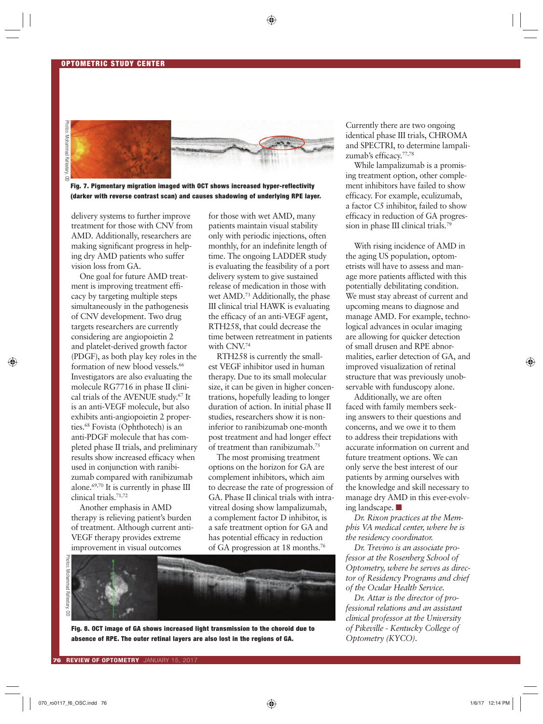

**Fig. 7. Pigmentary migration imaged with OCT shows increased hyper-reflectivity (darker with reverse contrast scan) and causes shadowing of underlying RPE layer.** 

delivery systems to further improve treatment for those with CNV from AMD. Additionally, researchers are making significant progress in helping dry AMD patients who suffer vision loss from GA.

One goal for future AMD treatment is improving treatment efficacy by targeting multiple steps simultaneously in the pathogenesis of CNV development. Two drug targets researchers are currently considering are angiopoietin 2 and platelet-derived growth factor (PDGF), as both play key roles in the formation of new blood vessels.<sup>66</sup> Investigators are also evaluating the molecule RG7716 in phase II clinical trials of the AVENUE study.67 It is an anti-VEGF molecule, but also exhibits anti-angiopoietin 2 properties.68 Fovista (Ophthotech) is an anti-PDGF molecule that has completed phase II trials, and preliminary results show increased efficacy when used in conjunction with ranibizumab compared with ranibizumab alone.69,70 It is currently in phase III clinical trials.71,72

Another emphasis in AMD therapy is relieving patient's burden of treatment. Although current anti-VEGF therapy provides extreme improvement in visual outcomes

for those with wet AMD, many patients maintain visual stability only with periodic injections, often monthly, for an indefinite length of time. The ongoing LADDER study is evaluating the feasibility of a port delivery system to give sustained release of medication in those with wet AMD.<sup>73</sup> Additionally, the phase III clinical trial HAWK is evaluating the efficacy of an anti-VEGF agent, RTH258, that could decrease the time between retreatment in patients with CNV.<sup>74</sup>

RTH258 is currently the smallest VEGF inhibitor used in human therapy. Due to its small molecular size, it can be given in higher concentrations, hopefully leading to longer duration of action. In initial phase II studies, researchers show it is noninferior to ranibizumab one-month post treatment and had longer effect of treatment than ranibizumab.75

The most promising treatment options on the horizon for GA are complement inhibitors, which aim to decrease the rate of progression of GA. Phase II clinical trials with intravitreal dosing show lampalizumab, a complement factor D inhibitor, is a safe treatment option for GA and has potential efficacy in reduction of GA progression at 18 months.76



**Fig. 8. OCT image of GA shows increased light transmission to the choroid due to absence of RPE. The outer retinal layers are also lost in the regions of GA.**

Currently there are two ongoing identical phase III trials, CHROMA and SPECTRI, to determine lampalizumab's efficacy.<sup>77,78</sup>

While lampalizumab is a promising treatment option, other complement inhibitors have failed to show efficacy. For example, eculizumab, a factor C5 inhibitor, failed to show efficacy in reduction of GA progression in phase III clinical trials.<sup>79</sup>

With rising incidence of AMD in the aging US population, optometrists will have to assess and manage more patients afflicted with this potentially debilitating condition. We must stay abreast of current and upcoming means to diagnose and manage AMD. For example, technological advances in ocular imaging are allowing for quicker detection of small drusen and RPE abnormalities, earlier detection of GA, and improved visualization of retinal structure that was previously unobservable with funduscopy alone.

Additionally, we are often faced with family members seeking answers to their questions and concerns, and we owe it to them to address their trepidations with accurate information on current and future treatment options. We can only serve the best interest of our patients by arming ourselves with the knowledge and skill necessary to manage dry AMD in this ever-evolving landscape. ■

*Dr. Rixon practices at the Memphis VA medical center, where he is the residency coordinator.*

*Dr. Trevino is an associate professor at the Rosenberg School of Optometry, where he serves as director of Residency Programs and chief of the Ocular Health Service.*

*Dr. Attar is the director of professional relations and an assistant clinical professor at the University of Pikeville - Kentucky College of Optometry (KYCO).*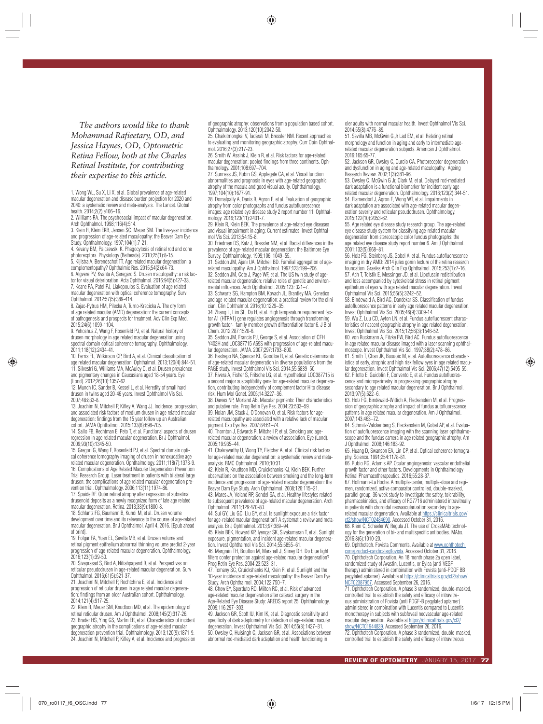*The authors would like to thank Mohammad Rafieetary, OD, and Jessica Haynes, OD, Optometric Retina Fellow, both at the Charles Retinal Institute, for contributing their expertise to this article.* 

1. Wong WL, Su X, Li X, et al. Global prevalence of age-related macular degeneration and disease burden projection for 2020 and 2040: a systematic review and meta-analysis. The Lancet. Global health. 2014;2(2):e106–16.

2. Williams RA. The psychosocial impact of macular degeneration. Arch Ophthalmol. 1998;116(4):514.

3. Klein R, Klein EKB, Jensen SC, Meuer SM. The five-year incidence and progression of age-related maculopathy: the Beaver Dam Eye Study. Ophthalmology. 1997;104(1):7-21.

4. Kevany BM, Palczewski K. Phagocytosis of retinal rod and cone photorecptors. Physiology (Bethesda). 2010;25(1):8-15. 5. Kijlstra A, Berendschot TT. Age related macular degeneration: a complementopathy? Ophthalmic Res. 2015;54(2):64-73. 6. Algvere PV, Kvanta A, Seregard S. Drusen maculopathy: a risk factor for visual deterioration. Acta Ophthalmol. 2016:94(5):427-33. 7. Keane PA, Patel PJ, Liakopoulos S. Evaluation of age related macular degeneration with optical coherence tomography. Surv Ophthalmol. 2012:57(5):389-414.

8. Zajac-Pytrus HM, Pilecka A, Turno-Krecicka A. The dry form of age related macular (AMD) degeneration: the current concepts of pathogenesis and prospects for treatment. Adv Clin Exp Med. 2015;24(6):1099-1104.

9. Yehoshua Z, Wang F, Rosenfeld PJ, et al. Natural history of drusen morphology in age related macular degeneration using spectral domain optical coherence tomography. Ophthalmology. 2011;118(12):2434-41.

10. Ferris FL, Wilkinson CP, Bird A, et al. Clinical classification of age related macular degeneration. Ophthalmol. 2013;120(4):844-51. 11. Silvestri G, Williams MA, McAuley C, et al. Drusen prevalence and pigmentary changes in Caucasians aged 18-54 years. Eye (Lond). 2012;26(10):1357-62.

12. Munch IC, Sander B, Kessel L, et al. Heredity of small hard drusen in twins aged 20-46 years. Invest Ophthalmol Vis Sci. 2007;48:833-8.

13. Joachim N, Mitchell P, Kifley A, Wang JJ. Incidence, progression, and associated risk factors of medium drusen in age related macular degeneration: findings from the 15 year follow up an Australian cohort. JAMA Ophthalmol. 2015;133(6):698-705.

14. Sallo FB, Rechtman E, Peto T, et al. Functional aspects of drusen regression in age related macular degeneration. Br J Ophthalmol. 2009;93(10):1345-50.

15. Gregori G, Wang F, Rosenfeld PJ, et al. Spectral domain optical coherence tomography imaging of drusen in nonexudative age related macular degeneration. Ophthalmology. 2011;118(7):1373-9. 16. Complications of Age Related Macular Degeneration Prevention Trial Research Group. Laser treatment in patients with bilateral large drusen: the complications of age related macular degeneration pre-

vention trial. Ophthalmology. 2006;113(11):1974-86. 17. Spaide RF. Outer retinal atrophy after regression of subretinal drusenoid deposits as a newly recognized form of late age related macular degeneration. Retina. 2013;33(9):1800-8.

18. Schlantz FG, Baumann B, Kundi M, et al. Drusen volume development over time and its relevance to the course of age-related macular degeneration. Br J Ophthalmol. April 4, 2016. [Epub ahead of print].

19. Folgar FA, Yuan EL, Sevilla MB, et al. Drusen volume and retinal pigment epithelium abnormal thinning volume predict 2-year progression of age-related macular degeneration. Ophthalmology. 2016;123(1):39-50.

20. Sivaprasad S, Bird A, Nitiahpapand R, et al. Perspectives on reticular pseudodrusen in age-related macular degeneration. Surv Ophthalmol. 2016;61(5):521-37.

21. Joachim N, Mitchell P, Rochtchina E, et al. Incidence and progression of reticular drusen in age related macular degeneration: findings from an older Australian cohort. Ophthalmology. 2014;121(4):917-25.

22. Klein R, Meuer SM, Knudtson MD, et al. The epidemiology of retinal reticular drusen. Am J Ophthalmol. 2008;145(2):317-26. 23. Brader HS, Ying GS, Martin ER, et al. Characteristics of incident geographic atrophy in the complications of age-related macular degeneration prevention trial. Ophthalmology. 2013;120(9):1871-9. 24. Joachim N, Mitchell P, Kifley A, et al. Incidence and progression

of geographic atrophy: observations from a population based cohort. Ophthalmology. 2013;120(10):2042-50.

25. Chaikitmongkai V, Tadarati M, Bressler NM. Recent approaches to evaluating and monitoring geographic atrophy. Curr Opin Ophthalmol. 2016;27(3):217-23.

26. Smith W, Assink J, Klein R, et al. Risk factors for age-related macular degeneration: pooled findings from three continents. Ophthalmology. 2001;108:697–704.

27. Sunness JS, Rubin GS, Applegate CA, et al. Visual function abnormalities and prognosis in eyes with age-related geographic atrophy of the macula and good visual acuity. Ophthalmology. 1997;104(10):1677-91.

28. Domalpally A, Danis R, Agron E, et al. Evaluation of geographic atrophy from color photographs and fundus autofluorescence images: age related eye disease study 2 report number 11. Ophthal-mology. 2016;123(11):2401-7.

29. Klein R, Klein BEK. The prevalence of age-related eye diseases and visual impairment in aging: Current estimates. Invest Ophthalmol Vis Sci. 2013;54:15-8.

30. Friedman DS, Katz J, Bressler NM, et al. Racial differences in the prevalence of age-related macular degeneration: the Baltimore Eye Survey. Ophthalmology. 1999;106: 1049–55.

31. Seddon JM, Ajani UA, Mitchell BD. Familial aggregation of agerelated maculopathy. Am J Ophthalmol. 1997;123:199–206. 32. Seddon JM, Cote J, Page WF, et al. The US twin study of agerelated macular degeneration: relative roles of genetic and environ-mental influences. Arch Ophthalmol. 2005;123: 321–7. 33. Schwartz SG, Hampton BM, Kovach JL, Brantley MA. Genetics

and age-related macular degeneration: a practical review for the clinician. Clin Ophthalmol. 2016;10:1229–35.

34. Zhang L, Lim SL, Du H, et al. High temperature requirement factor A1 (HTRA1) gene regulates angiogenesis through transforming growth factor- family member growth differentiation factor 6. J Biol Chem. 2012;287:1520-6.

35. Seddon JM, Francis PJ, George S, et al. Association of CFH Y402H and LOC387715 A69S with progression of age-related macu-lar degeneration. JAMA. 2007;297:1793–800.

36. Restrepo NA, Spencer KL, Goodloe R, et al. Genetic determinants of age-related macular degeneration in diverse populations from the PAGE study. Invest Ophthalmol Vis Sci. 2014;55:6839–50. 37. Rivera A, Fisher S, Fritsche LG, et al. Hypothetical LOC387715 is a second major susceptibility gene for age-related macular degenera-

tion, contributing independently of complement factor H to disease risk. Hum Mol Genet. 2005;14:3227–36. 38. Davies NP, Morland AB. Macular pigments: Their characteristics

and putative role. Prog Retin Eye Res. 2004;23:533–59. 39. Nolan JM, Stack J, O'Donovan O, et al. Risk factors for agerelated maculopathy are associated with a relative lack of macular pigment. Exp Eye Res. 2007;84:61–74.

40. Thornton J, Edwards R, Mitchell P, et al. Smoking and agerelated macular degeneration: a review of association. Eye (Lond). 2005;19:935–44.

41. Chakravarthy U, Wong TY, Fletcher A, et al. Clinical risk factors for age-related macular degeneration: a systematic review and metaanalysis. BMC Ophthalmol. 2010;10:31.

42. Klein R, Knudtson MD, Cruickshanks KJ, Klein BEK. Further observations on the association between smoking and the long-term incidence and progression of age-related macular degeneration: the Beaver Dam Eye Study. Arch Ophthalmol. 2008;126:115–21. 43. Mares JA, Voland RP, Sondel SA, et al. Healthy lifestyles related

to subsequent prevalence of age-related macular degeneration. Arch Ophthalmol. 2011;129:470-80. 44. Sui GY, Liu GC, Liu GY, et al. Is sunlight exposure a risk factor

for age-related macular degeneration? A systematic review and metaanalysis. Br J Ophthalmol. 2013;97:389–94.

45. Klein BEK, Howard KP, Iyengar SK, Sivakumaran T, et al. Sunlight exposure, pigmentation, and incident age-related macular degenera-<br>tion. Invest Ophthalmol Vis Sci. 2014;55:5855–61.<br>46. Margrain TH, Boulton M, Marshall J, Sliney DH. Do blue light

filters confer protection against age-related macular degeneration? Prog Retin Eye Res. 2004;23:523–31.

47. Tomany SC, Cruickshanks KJ, Klein R, et al. Sunlight and the 10-year incidence of age-related maculopathy: the Beaver Dam Eye Study. Arch Ophthalmol. 2004;122:750–7.

48. Chew EY, Sperduto RD, Milton RC, et al. Risk of advanced age-related macular degeneration after cataract surgery in the Age-Related Eye Disease Study: AREDS report 25. Ophthalmology. 2009;116:297–303.

49. Jackson GR, Scott IU, Kim IK, et al. Diagnostic sensitivity and specificity of dark adaptometry for detection of age-related macular degeneration. Invest Ophthalmol Vis Sci. 2014;55(3):1427–31. 50. Owsley C, Huisingh C, Jackson GR, et al. Associations between abnormal rod-mediated dark adaptation and health functioning in

oler adults with normal macular health. Invest Ophthalmol Vis Sci. 2014;55(8):4776–89.

51. Sevilla MB, McGwin G,Jr Lad EM, et al. Relating retinal morphology and function in aging and early to intermediate agerelated macular degeneration subjects. American J Ophthalmol. 2016;165:65-77.

52. Jackson GR, Owsley C, Curcio CA. Photoreceptor degeneration and dysfunction in aging and age-related maculopathy. Ageing Research Review. 2002;1(3):381-96.

53. Owsley C, McGwin G Jr, Clark M, et al. Delayed rod-mediated dark adaptation is a functional biomarker for incident early agerelated macular degeneration. Ophthalmology. 2016;123(2):344-51. 54. Flamendorf J, Agron E, Wong WT, et al. Impairments in dark adaptation are associated with age-related macular degeneration severity and reticular pseudodrusen. Ophthalmology. 2015;122(10):2053-62.

55. Age related eye disease study research group. The age-related eye disease study system for classifying age-related macular degeneration from stereoscopic color fundus photographs: the age related eye disease study report number 6. Am J Ophthalmol. 2001;132(5):668–81.

56. Holz FG, Steinberg JS, Gobel A, et al. Fundus autofluorescence imaging in dry AMD: 2014 jules gonin lecture of the retina research foundation. Graefes Arch Clin Exp Ophthalmol. 2015;253(1):7-16. 57. Ach T, Tolstik E, Messinger JD, et al. Lipofuscin redistribution and loss accompanied by cytoskeletal stress in retinal pigment epithelium of eyes with age related macular degeneration. Invest Ophthalmol Vis Sci. 2015;56(5):3242–52.

58. Bindewald A, Bird AC, Dandekar SS. Classification of fundus autofluorescence patterns in early age related macular degeneration. Invest Ophthalmol Vis Sci. 2005;46(9):3309-14.

59. Wu Z, Luu CD, Ayton LN, et al. Fundus autofluorescent characteristics of nascent geographic atrophy in age related degeneration. Invest Ophthalmol Vis Sci. 2015;12;56(3):1546-52.

60. von Ruckmann A, Fitzke FW, Bird AC. Fundus autofluorescence in age related macular disease imaged with a laser scanning ophthalmoscope. Invest Ophthalmol Vis Sci. 1997;38(2):478–86.

61. Smith T, Chan JK, Busuoic M, et al. Autofluorescence characteristics of early, atrophic and high risk fellow eyes in age related macular degeneration. Invest Ophthalmol Vis Sci. 2006;47(12):5495-55. 62. Pilotto E, Guidolin F, Convento E, et al. Fundus autofluorescence and microperimetry in progressing geographic atrophy secondary to age related macular degeneration. Br J Ophthalmol. 2013;97(5):622–6.

63. Holz FG, Bindewald-Wittich A, Fleckenstein M, et al. Progression of geographic atrophy and impact of fundus autofluorescence patterns in age related macular degeneration. Am J Ophthalmol. 2007;143:463–72.

64. Schmitz-Valckenberg S, Fleckenstein M, Gobel AP, et al. Evaluation of autofluorescence imaging with the scanning laser ophthalmoscope and the fundus camera in age related geographic atrophy. Am J Ophthalmol. 2008;146:183-92.

65. Huang D, Swanson EA, Lin CP, et al. Optical coherence tomography. Science. 1991;254:1178-81.

66. Rubio RG, Adamis AP. Ocular angiogenesis: vascular endothelial growth factor and other factors. Developments in Ophthalmology Retinal Pharmacotherapeutics. 2016;55:28-37.

67. Hoffmann-La Roche. A multiple-center, multiple-dose and regimen, randomized, active comparator controlled, double-masked, parallel group, 36 week study to investigate the safety, tolerability, pharmacokinetics, and efficacy of RG7716 administered intravitreally in patients with choroidal neovascularization secondary to agerelated macular degeneration. Available at https://clinicaltrials.gov/

ct2/show/NCT02484690. Accessed October 31, 2016. 68. Klein C, Schaefer W, Regula JT. The use of CrossMAb technology for the generation of bi- and multispecific antibodies. MAbs. 2016;8(6):1010-20.

69. Ophthotech. Fovista Comments. Available at <u>www.ophthotech.</u><br><u>com/product-candidates/fovista</u>. Accessed October 31, 2016.<br>70. Ophthotech Corporation. An 18 month phase 2a open label, randomized study of Avastin, Lucentis, or Eylea (anti-VEGF therapy) administered in combination with Fovista (anti-PDGF BB pegylated aptamer). Available at https://clinicaltrials.gov/ct2/show/<br>NCT02387957. Accessed September 26, 2016.

<u>NCT02387957</u>. Accessed September 26, 2016.<br>71. Ophthotech Corporation. A phase 3 randomized, double-masked, controlled trial to establish the safety and efficacy of intravitreous administration of Fovista (anti PDGF-B pegylated aptamer) administered in combination with Lucentis compared to Lucentis monotherapy in subjects with subfoveal neovascular age-related macular degeneration. Available at https://clinicaltrials.gov/ct2/

<u>show/NCT01944839</u>. Accessed September 26, 2016.<br>72. Ophthotech Corporation. A phase 3 randomized, double-masked, controlled trial to establish the safety and efficacy of intravitreous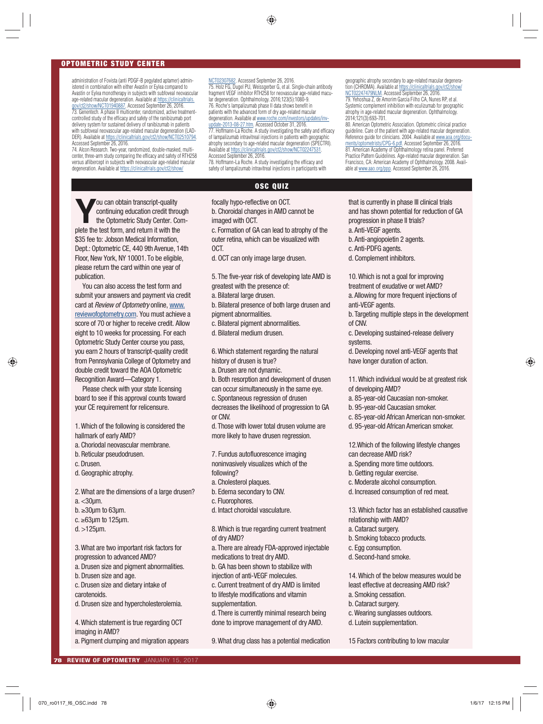#### **OPTOMETRIC STUDY CENTER**

administration of Fovista (anti PDGF-B pegylated aptamer) administered in combination with either Avastin or Eylea compared to Avastin or Eylea monotherapy in subjects with subfoveal neovascular age-related macular degeneration. Available at https://clinicaltrials. v/ct2/show/NCT01940887. Accessed September 26, 2016. 73. Genentech. A phase II multicenter, randomized, active treatmentcontrolled study of the efficacy and safety of the ranibizumab port delivery system for sustained delivery of ranibizumab in patients with subfoveal neovascular age-related macular degeneration (LAD-DER). Available at https://clinicaltrials.gov/ct2/show/NCT02510794. Accessed September 26, 2016.

74. Alcon Research. Two-year, randomized, double-masked, multicenter, three-arm study comparing the efficacy and safety of RTH258 versus aflibercept in subjects with neovascular age-related macular degeneration. Available at https://clinicaltrials.gov/ct2/show/

NCT02307682. Accessed September 26, 2016. 75. Holz FG, Dugel PU, Weissgerber G, et al. Single-chain antibody fragment VEGF inhibitor RTH258 for neovascular age-related macular degeneration. Ophthalmology. 2016;123(5):1080-9. 76. Roche's lampalizumab phase II data shows benefit in patients with the advanced form of dry age-related macular degeneration. Available at www.roche.com/investors/up <u>update-2013-08-27.htm</u>. Accessed October 31, 2016.<br>77. Hoffmann-La Roche. A study investigating the safety and efficacy of lampalizumab intravitreal injections in patients with geographic atrophy secondary to age-related macular degeneration (SPECTRI). Available at https://clinicaltrials.gov/ct2/show/NCT02247531.

Accessed September 26, 2016. 78. Hoffmann-La Roche. A study investigating the efficacy and safety of lampalizumab intravitreal injections in participants with

#### **OSC QUIZ**

focally hypo-reflective on OCT.

b. Choroidal changes in AMD cannot be imaged with OCT.

c. Formation of GA can lead to atrophy of the outer retina, which can be visualized with OCT.

d. OCT can only image large drusen.

5. The five-year risk of developing late AMD is greatest with the presence of:

a. Bilateral large drusen.

b. Bilateral presence of both large drusen and pigment abnormalities.

c. Bilateral pigment abnormalities.

d. Bilateral medium drusen.

6. Which statement regarding the natural history of drusen is true?

a. Drusen are not dynamic.

b. Both resorption and development of drusen can occur simultaneously in the same eye. c. Spontaneous regression of drusen decreases the likelihood of progression to GA

or CNV. d. Those with lower total drusen volume are

more likely to have drusen regression.

7. Fundus autofluorescence imaging noninvasively visualizes which of the following?

a. Cholesterol plaques.

- b. Edema secondary to CNV.
- c. Fluorophores.
- d. Intact choroidal vasculature.

8. Which is true regarding current treatment of dry AMD?

a. There are already FDA-approved injectable medications to treat dry AMD.

b. GA has been shown to stabilize with

injection of anti-VEGF molecules.

to lifestyle modifications and vitamin supplementation.

d. There is currently minimal research being done to improve management of dry AMD.

9. What drug class has a potential medication

geographic atrophy secondary to age-related macular degeneration (CHROMA). Available at https://clinicaltrials.gov/ct2/show/ NCT02247479NLM. Accessed September 26, 2016 79. Yehoshua Z, de Amorim Garcia Filho CA, Nunes RP, et al. Systemic complement inhibition with eculizumab for geographic atrophy in age-related macular degeneration. Ophthalmology. 2014;121(3):693-701.

80. American Optometric Association. Optometric clinical practice guideline. Care of the patient with age-related macular degeneration. Reference guide for clinicians. 2004. Available at www.aoa.org/documents/optometrists/CPG-6.pdf. Accessed September 26, 2016. 81. American Academy of Ophthalmology retina panel. Preferred Practice Pattern Guidelines. Age-related macular degeneration. San Francisco, CA: American Academy of Ophthalmology. 2008. Available at www.aao.org/ppp. Accessed September 26, 2016.

that is currently in phase III clinical trials and has shown potential for reduction of GA

progression in phase II trials?

a. Anti-VEGF agents.

b. Anti-angiopoietin 2 agents.

c. Anti-PDFG agents.

d. Complement inhibitors.

10. Which is not a goal for improving treatment of exudative or wet AMD? a. Allowing for more frequent injections of anti-VEGF agents.

b. Targeting multiple steps in the development of CNV.

c. Developing sustained-release delivery systems.

d. Developing novel anti-VEGF agents that have longer duration of action.

11. Which individual would be at greatest risk of developing AMD?

a. 85-year-old Caucasian non-smoker.

- b. 95-year-old Caucasian smoker.
- c. 85-year-old African American non-smoker.
- d. 95-year-old African American smoker.

12.Which of the following lifestyle changes can decrease AMD risk?

- a. Spending more time outdoors.
- b. Getting regular exercise.
- c. Moderate alcohol consumption.
- d. Increased consumption of red meat.

13. Which factor has an established causative relationship with AMD?

- a. Cataract surgery.
- b. Smoking tobacco products.
- c. Egg consumption.
- d. Second-hand smoke.

14. Which of the below measures would be least effective at decreasing AMD risk?

- a. Smoking cessation.
- b. Cataract surgery.
- c. Wearing sunglasses outdoors.
- d. Lutein supplementation.
- 15 Factors contributing to low macular

\$35 fee to: Jobson Medical Information. Dept.: Optometric CE, 440 9th Avenue, 14th Floor, New York, NY 10001. To be eligible, please return the card within one year of publication. You can also access the test form and

**Y** ou can obtain transcript-quality<br>
continuing education credit thro<br>
the Optometric Study Center. Contains the test form and ratura it with the continuing education credit through the Optometric Study Center. Com-

plete the test form, and return it with the

submit your answers and payment via credit card at *Review of Optometry* online, www. reviewofoptometry.com. You must achieve a score of 70 or higher to receive credit. Allow eight to 10 weeks for processing. For each Optometric Study Center course you pass, you earn 2 hours of transcript-quality credit from Pennsylvania College of Optometry and double credit toward the AOA Optometric Recognition Award—Category 1.

Please check with your state licensing board to see if this approval counts toward your CE requirement for relicensure.

1. Which of the following is considered the hallmark of early AMD?

a. Choriodal neovascular membrane.

b. Reticular pseudodrusen.

c. Drusen.

d. Geographic atrophy.

2. What are the dimensions of a large drusen? a. <30µm.  $b. \geq 30$ µm to 63µm. c. ≥63µm to 125µm.

d. >125µm.

3. What are two important risk factors for progression to advanced AMD?

a. Drusen size and pigment abnormalities. b. Drusen size and age.

c. Drusen size and dietary intake of carotenoids.

d. Drusen size and hypercholesterolemia.

4. Which statement is true regarding OCT imaging in AMD?

a. Pigment clumping and migration appears

c. Current treatment of dry AMD is limited